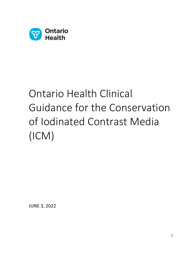

# Ontario Health Clinical Guidance for the Conservation of Iodinated Contrast Media (ICM)

JUNE 3, 2022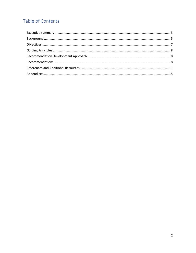# Table of Contents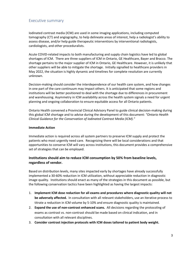## <span id="page-2-0"></span>Executive summary

Iodinated contrast media (ICM) are used in some imaging applications, including computed tomography (CT) and angiography, to help delineate areas of interest, help a radiologist's ability to assess disease, and/or help guide therapeutic interventions by interventional radiologists, cardiologists, and other proceduralists.

Acute COVID-related impacts to both manufacturing and supply chain logistics have led to global shortages of ICM. There are three suppliers of ICM in Ontario, GE Healthcare, Bayer and Bracco. The shortage pertains to the major supplier of ICM in Ontario, GE Healthcare. However, it is unlikely that other suppliers will be able to mitigate the shortage. Initially signalled to healthcare providers in May 2022, the situation is highly dynamic and timelines for complete resolution are currently unknown.

Decision-making should consider the interdependence of our health care system, and how changes in one part of the care continuum may impact others. It is anticipated that some regions and institutions will be better positioned to deal with the shortage due to differences in procurement and warehousing. Asymmetry in ICM availability across the health system signals a need for urgent planning and ongoing collaboration to ensure equitable access for all Ontario patients.

Ontario Health convened a Provincial Clinical Advisory Panel to guide clinical decision-making during this global ICM shortage and to advise during the development of this document: *"Ontario Health Clinical Guidance for the Conservation of Iodinated Contrast Media (ICM)."*

#### **Immediate Action**

Immediate action is required across all system partners to preserve ICM supply and protect the patients who most urgently need care. Recognizing there will be local considerations and that opportunities to conserve ICM will vary across institutions, this document provides a comprehensive set of strategies that can be employed.

#### **Institutions should aim to reduce ICM consumption by 50% from baseline levels, regardless of vendor.**

Based on distribution levels, many sites impacted early by shortages have already successfully implemented a 30-60% reduction in ICM utilization, without appreciable reduction in diagnostic image quality. Institutions should enact as many of the strategies in this document as possible, but the following conservation tactics have been highlighted as having the largest impacts:

- 1. **Implement ICM dose reduction for all exams and procedures where diagnostic quality will not be adversely affected.** In consultation with all relevant stakeholders, use an iterative process to titrate a reduction in ICM volume by 5-10% and ensure diagnostic quality is maintained.
- 2. **Expand the use of non-contrast enhanced scans.** All decisions regarding the protocoling of exams as contrast vs. non-contrast should be made based on clinical indication, and in consultation with all relevant disciplines.
- 3. **Consider contrast injection protocols with ICM doses tailored to patient body weight.**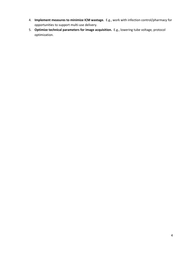- 4. **Implement measures to minimize ICM wastage.** E.g., work with infection control/pharmacy for opportunities to support multi-use delivery.
- 5. **Optimize technical parameters for image acquisition.** E.g., lowering tube voltage, protocol optimization.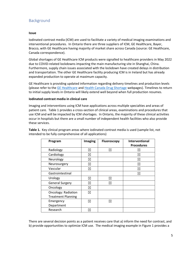# <span id="page-4-0"></span>Background

#### **Issue**

Iodinated contrast media (ICM) are used to facilitate a variety of medical imaging examinations and interventional procedures. In Ontario there are three suppliers of ICM, GE Healthcare, Bayer, Bracco, with GE Healthcare having majority of market share across Canada (source: GE Healthcare, Canada correspondence).

Global shortages of GE Healthcare ICM products were signalled to healthcare providers in May 2022 due to COVID-related lockdowns impacting the main manufacturing site in Shanghai, China. Furthermore, supply chain issues associated with the lockdown have created delays in distribution and transportation. The other GE Healthcare facility producing ICM is in Ireland but has already expanded production to operate at maximum capacity.

GE Healthcare is providing updated information regarding delivery timelines and production levels (please refer to th[e GE Healthcare](https://www.ge.com/news/press-releases/ge-healthcare-update-on-iodinated-contrast-media) and [Health Canada Drug Shortage](https://www.drugshortagescanada.ca/drugsearch?term=Omnipaque&ingredient=&atc_code=&atc_descriptor=&_token=NVg_6nO_PkOEitChRiJi9sU1-INdIE1Rp4YRGp_X2Es) webpages). Timelines to return to initial supply levels in Ontario will likely extend well beyond when full production resumes.

#### **Iodinated contrast media in clinical care**

Imaging and interventions using ICM have applications across multiple specialties and areas of patient care. Table 1 provides a cross-section of clinical areas, examinations and procedures that use ICM and will be impacted by ICM shortages. In Ontario, the majority of these clinical activities occur in hospitals but there are a small number of independent health facilities who also provide these services.

**Table 1.** Key clinical program areas where iodinated contrast media is used (sample list, not intended to be fully comprehensive of all applications)

| Program                    | Imaging | <b>Fluoroscopy</b> | Interventional    |
|----------------------------|---------|--------------------|-------------------|
|                            |         |                    | <b>Procedures</b> |
| Radiology                  | ⊠       | ⊠                  | $\boxtimes$       |
| Cardiology                 | ⊠       |                    | ⊠                 |
| Neurology                  | ⊠       |                    | ⊠                 |
| Neurosurgery               | ⊠       |                    | ⊠                 |
| Vascular                   | ⊠       |                    | ⊠                 |
| Gastrointestinal           |         |                    | X                 |
| Urology                    | ⊠       | ⊠                  |                   |
| <b>General Surgery</b>     | ⊠       | ⊠                  |                   |
| Oncology                   | ⊠       |                    |                   |
| <b>Oncology: Radiation</b> | ⊠       |                    |                   |
| <b>Treatment Planning</b>  |         |                    |                   |
| Emergency                  | ⊠       | ⊠                  |                   |
| Department                 |         |                    |                   |
| Research                   | ⊠       |                    |                   |

There are several decision points as a patient receives care that a) inform the need for contrast, and b) provide opportunities to optimize ICM use. The medical imaging example in Figure 1 provides a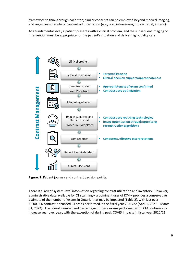framework to think through each step; similar concepts can be employed beyond medical imaging, and regardless of route of contrast administration (e.g., oral, intravenous, intra-arterial, enteric).

At a fundamental level, a patient presents with a clinical problem, and the subsequent imaging or intervention must be appropriate for the patient's situation and deliver high-quality care.



**Figure. 1**. Patient journey and contrast decision points.

There is a lack of system-level information regarding contrast utilization and inventory. However, administrative data available for CT scanning – a dominant user of ICM – provides a conservative estimate of the number of exams in Ontario that may be impacted (Table 2), with just over 1,000,000 contrast-enhanced CT scans performed in the fiscal year 2021/22 (April 1, 2021 – March 31, 2022). The overall number and percentage of these exams performed with ICM continues to increase year over year, with the exception of during peak COVID impacts in fiscal year 2020/21.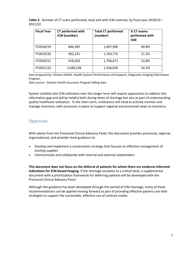**Table 2.** Number of CT scans performed, total and with ICM contrast, by fiscal year 2018/19 – 2021/22.

| <b>Fiscal Year</b> | <b>CT performed with</b><br>ICM (number) | <b>Total CT performed</b><br>(number) | % CT exams<br>performed with<br><b>ICM</b> |
|--------------------|------------------------------------------|---------------------------------------|--------------------------------------------|
| FY2018/19          | 846,395                                  | 1,697,996                             | 49.8%                                      |
| FY2019/20          | 902,231                                  | 1,763,775                             | 51.2%                                      |
| FY2020/21          | 918,203                                  | 1,706,871                             | 53.8%                                      |
| FY2021/22          | 1,049,104                                | 1,936,650                             | 54.2%                                      |

Data prepared by: Ontario Health, Health System Performance and Support, Diagnostic Imaging Information Program.

Data source: Ontario Health Insurance Program billing data

System visibility into ICM utilization over the longer term will require approaches to address this information gap and will be helpful both during times of shortage but also as part of understanding quality healthcare utilization. In the short term, institutions will need to actively monitor and manage inventory, with processes in place to support regional and provincial views to inventory.

# <span id="page-6-0"></span>**Objectives**

With advice from the Provincial Clinical Advisory Panel, this document provides provincial, regional, organizational, and provider-level guidance to:

- Develop and implement a conservation strategy that focuses on effective management of existing supplies
- Communicate and collaborate with internal and external stakeholders

**This document does not focus on the deferral of patients for whom there are evidence-informed indications for ICM-based imaging.** If the shortage escalates to a critical level, a supplemental document with a prioritization framework for deferring patients will be developed with the Provincial Clinical Advisory Panel.

Although this guidance has been developed through this period of ICM shortage, many of these recommendations can be applied moving forward as part of providing effective patient care with strategies to support the sustainable, effective use of contrast media.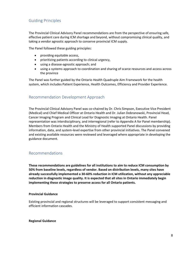# <span id="page-7-0"></span>Guiding Principles

The Provincial Clinical Advisory Panel recommendations are from the perspective of ensuring safe, effective patient care during ICM shortage and beyond, without compromising clinical quality, and taking a vendor agnostic approach to conserve provincial ICM supply.

The Panel followed these guiding principles:

- providing equitable access,
- prioritizing patients according to clinical urgency,
- using a disease-agnostic approach; and
- using a systems approach to coordination and sharing of scarce resources and access across the province

The Panel was further guided by the Ontario Health Quadruple Aim Framework for the health system, which includes Patient Experience, Health Outcomes, Efficiency and Provider Experience.

# <span id="page-7-1"></span>Recommendation Development Approach

The Provincial Clinical Advisory Panel was co-chaired by Dr. Chris Simpson, Executive Vice President (Medical) and Chief Medical Officer at Ontario Health and Dr. Julian Dobranowski, Provincial Head, Cancer Imaging Program and Clinical Lead for Diagnostic Imaging at Ontario Health. Panel representation was interdisciplinary, and interregional (refer to Appendix A for Panel membership). Members from Ontario Health and the Ministry of Health supported Panel discussions by providing information, data, and system-level expertise from other provincial initiatives. The Panel convened and existing available resources were reviewed and leveraged where appropriate in developing the guidance document.

# <span id="page-7-2"></span>Recommendations

**These recommendations are guidelines for all institutions to aim to reduce ICM consumption by 50% from baseline levels, regardless of vendor. Based on distribution levels, many sites have already successfully implemented a 30-60% reduction in ICM utilization, without any appreciable reduction in diagnostic image quality. It is expected that all sites in Ontario immediately begin implementing these strategies to preserve access for all Ontario patients.** 

#### **Provincial Guidance**

Existing provincial and regional structures will be leveraged to support consistent messaging and efficient information cascades.

#### **Regional Guidance**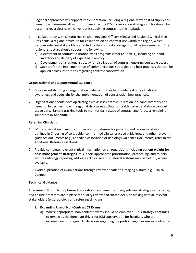- 1. Regional approaches will support implementation, including a regional view on ICM supply and demand, and ensuring all institutions are enacting ICM conservation strategies. This should be occurring regardless of which vendor is supplying contrast to the institution.
- 2. In collaboration with Ontario Health Chief Regional Officers (CROs) and Regional Clinical Vice-Presidents, a regional structure for collaboration on contrast use within the region, which includes relevant stakeholders affected by the contrast shortage should be implemented. The regional structure should support the following:
	- a) Assessment of contrast utilization by all programs (refer to Table 1), including on-hand inventory and delivery of expected inventory
	- b) Development of a regional strategy for distribution of contrast, ensuring equitable access
	- c) Support for the implementation of communications strategies and best practices that can be applied across institutions regarding contrast conservation

#### **Organizational and Departmental Guidance**

- 1. Consider establishing an organization wide committee to provide real time situational awareness and oversight for the implementation of conservation best practices.
- 2. Organizations should develop strategies to assess contrast utilization, on-hand inventory and demand. In partnership with regional structures at Ontario Health, collect and share contrast usage data. Sample tracking tools to monitor daily usage of contrast and forecast remaining supply are in **Appendix B**

#### **Referring Clinicians**

- 1. With conservation in mind, consider appropriateness for patients, and recommendations outlined in Choosing Wisely, evidence-informed clinical practice guidelines, and other relevant guidance documents (e.g., Canadian Association of Radiology Guidance Documents, refer to the Additional Resources section)
- 2. Provide complete, relevant clinical information on all requisitions **including patient weight for dose management strategies**, to support appropriate prioritization, protocoling, and to help ensure radiology reporting addresses clinical need. eReferral systems may be helpful, where available.
- 3. Avoid duplication of examinations through review of patient's imaging history (e.g., Clinical Connect).

#### **Technical Guidance**

To ensure ICM supply is optimized, sites should implement as many relevant strategies as possible, and ensure processes are in place for quality review and shared decision making with all relevant stakeholders (e.g., radiology and referring clinicians)

#### **1. Expanding Use of Non-Contrast CT Exams**

a) Where appropriate, non-contrast exams should be employed. This strategy continues to remain as the dominant driver for ICM conservation for hospitals who are experiencing shortages. All decisions regarding the protocoling of exams as contrast vs.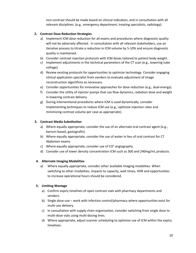non-contrast should be made based on clinical indication, and in consultation with all relevant disciplines. (e.g., emergency department, treating specialists, radiology).

#### **2. Contrast Dose Reduction Strategies**

- a) Implement ICM dose reduction for all exams and procedures where diagnostic quality will not be adversely affected. In consultation with all relevant stakeholders, use an iterative process to titrate a reduction in ICM volume by 5-10% and ensure diagnostic quality is maintained.
- b) Consider contrast injection protocols with ICM doses tailored to patient body weight.
- c) Implement adjustments in the technical parameters of the CT scan (e.g., lowering tube voltage).
- d) Review existing protocols for opportunities to optimize technology. Consider engaging clinical application specialist from vendors to evaluate adjustment of image reconstruction algorithms as necessary.
- e) Consider opportunities for innovative approaches for dose reduction (e.g., dual-energy).
- f) Consider the utility of injector pumps that use flow dynamics, radiation dose and weight in lowering contrast delivery.
- g) During interventional procedures where ICM is used dynamically, consider implementing techniques to reduce ICM use (e.g., optimize injection rates and minimizing contrast volume per case as appropriate).

#### **3. Contrast Media Substitution**

- a) Where equally appropriate, consider the use of an alternate oral contrast agent (e.g., barium-based, gastografin).
- b) Where equally appropriate, consider the use of water in lieu of oral contrast for CT Abdomen exams.
- c) Where equally appropriate, consider use of  $CO<sup>2</sup>$  angiography.
- d) Consider use of lower density concentration ICM such as 300 and 240mg/mL products.

#### **4. Alternate Imaging Modalities**

a) Where equally appropriate, consider other available imaging modalities. When switching to other modalities, impacts to capacity, wait times, HHR and opportunities to increase operational hours should be considered.

#### **5. Limiting Wastage**

- a) Confirm expiry timelines of open contrast vials with pharmacy departments and vendors.
- b) Single dose-use work with infection control/pharmacy where opportunities exist for multi-use delivery.
- c) In consultation with supply chain organization, consider switching from single dose to multi-dose vials using multi-dosing lines.
- d) Where appropriate, adjust scanner scheduling to optimize use of ICM within the expiry timelines.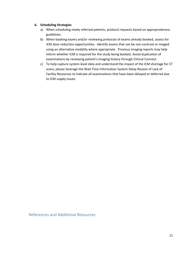#### **6. Scheduling Strategies**

- a) When scheduling newly referred patients, protocol requests based on appropriateness guidelines.
- b) When booking exams and/or reviewing protocols of exams already booked, assess for ICM dose reduction opportunities. Identify exams that can be non-contrast or imaged using an alternative modality where appropriate. Previous imaging reports may help inform whether ICM is required for the study being booked. Avoid duplication of examinations by reviewing patient's imaging history through Clinical Connect.
- c) To help capture system-level data and understand the impact of the ICM shortage for CT scans, please leverage the Wait Time Information System Delay Reason of Lack of Facility Resources to indicate all examinations that have been delayed or deferred due to ICM supply issues.

<span id="page-10-0"></span>References and Additional Resources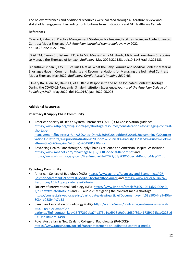The below references and additional resources were collated through a literature review and stakeholder engagement including contributions from institutions and GE Healthcare Canada.

#### **References**

Cavallo J, Pahade J. Practice Management Strategies for Imaging Facilities Facing an Acute Iodinated Contrast Media Shortage. *AJR American journal of roentgenology*. May 2022. doi:10.2214/AJR.22.27969

Grist TM, Canon CL, Fishman EK, Kohi MP, Mossa-Basha M. Short-, Mid-, and Long-Term Strategies to Manage the Shortage of Iohexol. *Radiology*. May 2022:221183. doi:10.1148/radiol.221183

Ananthakrishnan L, Kay FU, Zeikus EA et al. What the Baby Formula and Medical Contrast Material Shortages Have in Common: Insights and Recommendations for Managing the Iodinated Contrast Media Shortage May 2022. *Radiology: Cardiothoracic Imaging 2022* 4:3

Omary RA, Allen LM, Davis LT, et al. Rapid Response to the Acute Iodinated Contrast Shortage During the COVID-19 Pandemic: Single-Institution Experience. *Journal of the American College of Radiology: JACR*. May 2022. doi:10.1016/j.jacr.2022.05.005

#### **Additional Resources**

#### **Pharmacy & Supply Chain Community**

- American Society of Health-System Pharmacists (ASHP) CM Conservation guidance[https://www.ashp.org/drug-shortages/shortage-resources/considerations-for-imaging-contrast](https://www.ashp.org/drug-shortages/shortage-resources/considerations-for-imaging-contrast-shortage-management?loginreturnUrl=SSOCheckOnly.%20In%20addition%20to%20examining%20conservation%20efforts,%20prioritizatization%20upon%20clinical%20acuity,%20and%20use%20of%20alternative%20imaging,%20the%20ASHP%20also)[shortage](https://www.ashp.org/drug-shortages/shortage-resources/considerations-for-imaging-contrast-shortage-management?loginreturnUrl=SSOCheckOnly.%20In%20addition%20to%20examining%20conservation%20efforts,%20prioritizatization%20upon%20clinical%20acuity,%20and%20use%20of%20alternative%20imaging,%20the%20ASHP%20also)[management?loginreturnUrl=SSOCheckOnly.%20In%20addition%20to%20examining%20conser](https://www.ashp.org/drug-shortages/shortage-resources/considerations-for-imaging-contrast-shortage-management?loginreturnUrl=SSOCheckOnly.%20In%20addition%20to%20examining%20conservation%20efforts,%20prioritizatization%20upon%20clinical%20acuity,%20and%20use%20of%20alternative%20imaging,%20the%20ASHP%20also) [vation%20efforts,%20prioritizatization%20upon%20clinical%20acuity,%20and%20use%20of%20](https://www.ashp.org/drug-shortages/shortage-resources/considerations-for-imaging-contrast-shortage-management?loginreturnUrl=SSOCheckOnly.%20In%20addition%20to%20examining%20conservation%20efforts,%20prioritizatization%20upon%20clinical%20acuity,%20and%20use%20of%20alternative%20imaging,%20the%20ASHP%20also) [alternative%20imaging,%20the%20ASHP%20also](https://www.ashp.org/drug-shortages/shortage-resources/considerations-for-imaging-contrast-shortage-management?loginreturnUrl=SSOCheckOnly.%20In%20addition%20to%20examining%20conservation%20efforts,%20prioritizatization%20upon%20clinical%20acuity,%20and%20use%20of%20alternative%20imaging,%20the%20ASHP%20also)
- Advancing Health Care through Supply Chain Excellence and American Hospital Association <https://www.mhanet.com/mhaimages/QSR/SCRC-Special-Report.pdf> and <https://www.ahrmm.org/system/files/media/file/2022/05/SCRC-Special-Report-May-12.pdf>

#### **Radiology Community**

- American College of Radiology (ACR)- [https://www.acr.org/Advocacy-and-Economics/ACR-](https://www.acr.org/Advocacy-and-Economics/ACR-Position-Statements/Contrast-Media-Shortage#bookmark)[Position-Statements/Contrast-Media-Shortage#bookmark](https://www.acr.org/Advocacy-and-Economics/ACR-Position-Statements/Contrast-Media-Shortage#bookmark) and [https://www.acr.org/Clinical-](https://www.acr.org/Clinical-Resources/ACR-Appropriateness-Criteria)[Resources/ACR-Appropriateness-Criteria](https://www.acr.org/Clinical-Resources/ACR-Appropriateness-Criteria)
- Society of Interventional Radiology (SIR)- [https://www.jvir.org/article/S1051-0443\(22\)00940-](https://www.jvir.org/article/S1051-0443(22)00940-X/fulltext#relatedArticles) [X/fulltext#relatedArticles](https://www.jvir.org/article/S1051-0443(22)00940-X/fulltext#relatedArticles) and VIR audio 2: Mitigating the contrast media shortage [https://connect.sirweb.org/e-irq/participate/viewirqarticle?DocumentKey=fc58e500-f4e9-40fe-](https://connect.sirweb.org/e-irq/participate/viewirqarticle?DocumentKey=fc58e500-f4e9-40fe-8034-b088b44c7b38)[8034-b088b44c7b38](https://connect.sirweb.org/e-irq/participate/viewirqarticle?DocumentKey=fc58e500-f4e9-40fe-8034-b088b44c7b38)
- Canadian Association of Radiology (CAR)- [https://car.ca/news/contrast-agent-use-in-medical](https://car.ca/news/contrast-agent-use-in-medical-imaging-a-roadmap-for-patients/?inf_contact_key=16f572b7dba74d873d1cc6918d9e0e1f680f8914173f9191b1c0223e68310bb1#more-14986)[imaging-a-roadmap-for](https://car.ca/news/contrast-agent-use-in-medical-imaging-a-roadmap-for-patients/?inf_contact_key=16f572b7dba74d873d1cc6918d9e0e1f680f8914173f9191b1c0223e68310bb1#more-14986)[patients/?inf\\_contact\\_key=16f572b7dba74d873d1cc6918d9e0e1f680f8914173f9191b1c0223e6](https://car.ca/news/contrast-agent-use-in-medical-imaging-a-roadmap-for-patients/?inf_contact_key=16f572b7dba74d873d1cc6918d9e0e1f680f8914173f9191b1c0223e68310bb1#more-14986) [8310bb1#more-14986](https://car.ca/news/contrast-agent-use-in-medical-imaging-a-roadmap-for-patients/?inf_contact_key=16f572b7dba74d873d1cc6918d9e0e1f680f8914173f9191b1c0223e68310bb1#more-14986)
- Royal Australian & New Zealand College of Radiologists (RANZCR) [https://www.ranzcr.com/doclink/ranzcr-statement-on-iodinated-contrast-media-](https://www.ranzcr.com/doclink/ranzcr-statement-on-iodinated-contrast-media-shortage/eyJ0eXAiOiJKV1QiLCJhbGciOiJIUzI1NiJ9.eyJzdWIiOiJyYW56Y3Itc3RhdGVtZW50LW9uLWlvZGluYXRlZC1jb250cmFzdC1tZWRpYS1zaG9ydGFnZSIsImlhdCI6MTY1Mjc2NTM4MywiZXhwIjoxNjUyODUxNzgzfQ.ybIkoD4_pP9OVNCvxmZ44jOfp-Uu1W2ejWEAskIqyB8)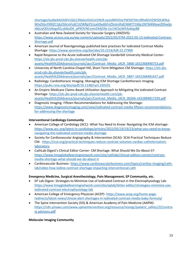[shortage/eyJ0eXAiOiJKV1QiLCJhbGciOiJIUzI1NiJ9.eyJzdWIiOiJyYW56Y3Itc3RhdGVtZW50LW9uL](https://www.ranzcr.com/doclink/ranzcr-statement-on-iodinated-contrast-media-shortage/eyJ0eXAiOiJKV1QiLCJhbGciOiJIUzI1NiJ9.eyJzdWIiOiJyYW56Y3Itc3RhdGVtZW50LW9uLWlvZGluYXRlZC1jb250cmFzdC1tZWRpYS1zaG9ydGFnZSIsImlhdCI6MTY1Mjc2NTM4MywiZXhwIjoxNjUyODUxNzgzfQ.ybIkoD4_pP9OVNCvxmZ44jOfp-Uu1W2ejWEAskIqyB8) [WlvZGluYXRlZC1jb250cmFzdC1tZWRpYS1zaG9ydGFnZSIsImlhdCI6MTY1Mjc2NTM4MywiZXhwIjo](https://www.ranzcr.com/doclink/ranzcr-statement-on-iodinated-contrast-media-shortage/eyJ0eXAiOiJKV1QiLCJhbGciOiJIUzI1NiJ9.eyJzdWIiOiJyYW56Y3Itc3RhdGVtZW50LW9uLWlvZGluYXRlZC1jb250cmFzdC1tZWRpYS1zaG9ydGFnZSIsImlhdCI6MTY1Mjc2NTM4MywiZXhwIjoxNjUyODUxNzgzfQ.ybIkoD4_pP9OVNCvxmZ44jOfp-Uu1W2ejWEAskIqyB8) [xNjUyODUxNzgzfQ.ybIkoD4\\_pP9OVNCvxmZ44jOfp-Uu1W2ejWEAskIqyB8](https://www.ranzcr.com/doclink/ranzcr-statement-on-iodinated-contrast-media-shortage/eyJ0eXAiOiJKV1QiLCJhbGciOiJIUzI1NiJ9.eyJzdWIiOiJyYW56Y3Itc3RhdGVtZW50LW9uLWlvZGluYXRlZC1jb250cmFzdC1tZWRpYS1zaG9ydGFnZSIsImlhdCI6MTY1Mjc2NTM4MywiZXhwIjoxNjUyODUxNzgzfQ.ybIkoD4_pP9OVNCvxmZ44jOfp-Uu1W2ejWEAskIqyB8)

- Australian and New Zealand Society for Vascular Surgery (ANZSVS) [https://www.anzsvs.org.au/wp-content/uploads/2022/05/STM-2022-05-13-Iodinated-Contrast-](https://www.anzsvs.org.au/wp-content/uploads/2022/05/STM-2022-05-13-Iodinated-Contrast-Shortage.pdf)[Shortage.pdf](https://www.anzsvs.org.au/wp-content/uploads/2022/05/STM-2022-05-13-Iodinated-Contrast-Shortage.pdf)
- American Journal of Roentgenology published best practices for Iodinated Contrast Media Shortage- <https://www.ajronline.org/doi/abs/10.2214/AJR.22.27969>
- Rapid Response to the Acute Iodinated CM Shortage Vanderbilt University Medical Center[https://els-jbs-prod-cdn.jbs.elsevierhealth.com/pb](https://els-jbs-prod-cdn.jbs.elsevierhealth.com/pb-assets/Health%20Advance/journals/jacr/Contrast_Media_JACR_5868-1652368490753.pdf)[assets/Health%20Advance/journals/jacr/Contrast\\_Media\\_JACR\\_5868-1652368490753.pdf](https://els-jbs-prod-cdn.jbs.elsevierhealth.com/pb-assets/Health%20Advance/journals/jacr/Contrast_Media_JACR_5868-1652368490753.pdf)
- University of North Carolina-Chapel Hill, Short-Term Mitigation CM Shortage- [https://els-jbs](https://els-jbs-prod-cdn.jbs.elsevierhealth.com/pb-assets/Health%20Advance/journals/jacr/Contrast_Media_JACR_5867-1652368481637.pdf)[prod-cdn.jbs.elsevierhealth.com/pb](https://els-jbs-prod-cdn.jbs.elsevierhealth.com/pb-assets/Health%20Advance/journals/jacr/Contrast_Media_JACR_5867-1652368481637.pdf)[assets/Health%20Advance/journals/jacr/Contrast\\_Media\\_JACR\\_5867-1652368481637.pdf](https://els-jbs-prod-cdn.jbs.elsevierhealth.com/pb-assets/Health%20Advance/journals/jacr/Contrast_Media_JACR_5867-1652368481637.pdf)
- Radiology: Cardiothoracic Imaging- Managing ICM Shortage Cardiothoracic Imaging<https://pubs.rsna.org/doi/epdf/10.1148/ryct.220101>
- An Empiric Medicare Claims-Based Utilization Approach to Mitigating the Iodinated Contrast Shortage- [https://els-jbs-prod-cdn.jbs.elsevierhealth.com/pb](https://els-jbs-prod-cdn.jbs.elsevierhealth.com/pb-assets/Health%20Advance/journals/jacr/Contrast_Media_JACR_00266-1652884817293.pdf)[assets/Health%20Advance/journals/jacr/Contrast\\_Media\\_JACR\\_00266-1652884817293.pdf](https://els-jbs-prod-cdn.jbs.elsevierhealth.com/pb-assets/Health%20Advance/journals/jacr/Contrast_Media_JACR_00266-1652884817293.pdf)
- Diagnostic Imaging- Fifteen Recommendations for Addressing the Shortage[https://www.diagnosticimaging.com/view/iodinated-contrast-media-fifteen-recommendations](https://www.diagnosticimaging.com/view/iodinated-contrast-media-fifteen-recommendations-for-addressing-the-shortage)[for-addressing-the-shortage](https://www.diagnosticimaging.com/view/iodinated-contrast-media-fifteen-recommendations-for-addressing-the-shortage)

#### **Interventional Cardiology Community**

- American College of Cardiology (ACC)- What You Need to Know: Navigating the ICM shortage[https://www.acc.org/latest-in-cardiology/articles/2022/05/19/19/23/what-you-need-to-know](https://www.acc.org/latest-in-cardiology/articles/2022/05/19/19/23/what-you-need-to-know-navigating-the-iodinated-contrast-media-shortage)[navigating-the-iodinated-contrast-media-shortage](https://www.acc.org/latest-in-cardiology/articles/2022/05/19/19/23/what-you-need-to-know-navigating-the-iodinated-contrast-media-shortage)
- Society for Cardiovascular Angiography & Intervention (SCAI)- SCAI Practical Techniques Reduce CM- [https://scai.org/practical-techniques-reduce-contrast-volumes-cardiac-catheterization](https://scai.org/practical-techniques-reduce-contrast-volumes-cardiac-catheterization-laboratory)[laboratory](https://scai.org/practical-techniques-reduce-contrast-volumes-cardiac-catheterization-laboratory)
- CathLab Digest's Clinical Editor Corner- CM Shortage: What Should We Do About it? [https://www.hmpgloballearningnetwork.com/site/cathlab/clinical-editors-corner/contrast](https://www.hmpgloballearningnetwork.com/site/cathlab/clinical-editors-corner/contrast-media-shortage-what-should-we-do-about-it)[media-shortage-what-should-we-do-about-it](https://www.hmpgloballearningnetwork.com/site/cathlab/clinical-editors-corner/contrast-media-shortage-what-should-we-do-about-it)
- Cardiovascular Business- [https://www.cardiovascularbusiness.com/topics/cardiac-imaging/cath](https://www.cardiovascularbusiness.com/topics/cardiac-imaging/cath-lab/video-how-iodine-contrast-shortage-impacting-interventional-cath)[lab/video-how-iodine-contrast-shortage-impacting-interventional-cath](https://www.cardiovascularbusiness.com/topics/cardiac-imaging/cath-lab/video-how-iodine-contrast-shortage-impacting-interventional-cath)

#### **Emergency Medicine, Surgical Anesthesiology, Pain Management, EP Community, etc.**

- EP Lab Digest- Strategies to Minimize Use of Iodinated Contrast in the Electrophysiology Lab[https://www.hmpgloballearningnetwork.com/site/eplab/letter-editor/strategies-minimize-use](https://www.hmpgloballearningnetwork.com/site/eplab/letter-editor/strategies-minimize-use-iodinated-contrast-electrophysiology-lab)[iodinated-contrast-electrophysiology-lab](https://www.hmpgloballearningnetwork.com/site/eplab/letter-editor/strategies-minimize-use-iodinated-contrast-electrophysiology-lab)
- American College of Emergency Physician (ACEP)- [https://www.acep.org/home-page](https://www.acep.org/home-page-redirects/latest-news/clinical-alert-shortages-in-iodinated-contrast-media-baby-formula/)[redirects/latest-news/clinical-alert-shortages-in-iodinated-contrast-media-baby-formula/](https://www.acep.org/home-page-redirects/latest-news/clinical-alert-shortages-in-iodinated-contrast-media-baby-formula/)
- The Spine Intervention Society (SIS) & American Academy of Pain Medicine (AAPM) [https://cdn.ymaws.com/www.spineintervention.org/resource/resmgr/patient\\_safety/22/contra](https://cdn.ymaws.com/www.spineintervention.org/resource/resmgr/patient_safety/22/contrast.advisory.pdf) [st.advisory.pdf](https://cdn.ymaws.com/www.spineintervention.org/resource/resmgr/patient_safety/22/contrast.advisory.pdf)

#### **Molecular Imaging Community**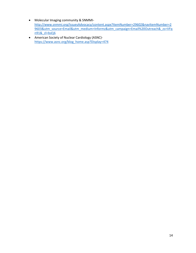- Molecular Imaging community & SNMMI[http://www.snmmi.org/IssuesAdvocacy/content.aspx?ItemNumber=29602&navItemNumber=2](http://www.snmmi.org/IssuesAdvocacy/content.aspx?ItemNumber=29602&navItemNumber=29603&utm_source=Email&utm_medium=Informz&utm_campaign=Email%20Outreach&_zs=VFqn91&_zl=bsEj6) [9603&utm\\_source=Email&utm\\_medium=Informz&utm\\_campaign=Email%20Outreach&\\_zs=VFq](http://www.snmmi.org/IssuesAdvocacy/content.aspx?ItemNumber=29602&navItemNumber=29603&utm_source=Email&utm_medium=Informz&utm_campaign=Email%20Outreach&_zs=VFqn91&_zl=bsEj6) [n91&\\_zl=bsEj6](http://www.snmmi.org/IssuesAdvocacy/content.aspx?ItemNumber=29602&navItemNumber=29603&utm_source=Email&utm_medium=Informz&utm_campaign=Email%20Outreach&_zs=VFqn91&_zl=bsEj6)
- American Society of Nuclear Cardiology (ASNC) [https://www.asnc.org/blog\\_home.asp?Display=474](https://www.asnc.org/blog_home.asp?Display=474)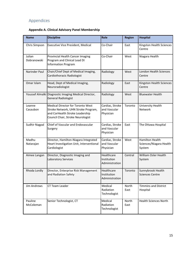# <span id="page-14-0"></span>Appendices

# **Appendix A. Clinical Advisory Panel Membership**

| <b>Name</b>           | <b>Discipline</b>                                                                                                                                       | Role                                         | <b>Region</b> | <b>Hospital</b>                                      |  |  |  |
|-----------------------|---------------------------------------------------------------------------------------------------------------------------------------------------------|----------------------------------------------|---------------|------------------------------------------------------|--|--|--|
| Chris Simpson         | <b>Executive Vice President, Medical</b>                                                                                                                | Co-Chair                                     | East          | Kingston Health Sciences<br>Centre                   |  |  |  |
| Julian<br>Dobranowski | Provincial Health Cancer Imaging<br>Program and Clinical Lead DI<br><b>Information Program</b>                                                          | Co-Chair                                     | West          | Niagara Health                                       |  |  |  |
| Narinder Paul         | Chair/Chief Dept of Medical Imaging,<br>Cardiothoracic Radiologist                                                                                      | Radiology                                    | West          | London Health Sciences<br>Centre                     |  |  |  |
| Omar Islam            | Head, Dept of Medical Imaging,<br>Neuroradiologist                                                                                                      | Radiology                                    | East          | Kingston Health Sciences<br>Centre                   |  |  |  |
|                       | Youssef Almalki Diagnostic Imaging Medical Director,<br><b>General Radiologist</b>                                                                      | Radiology                                    | West          | <b>Bluewater Health</b>                              |  |  |  |
| Leanne<br>Casaubon    | <b>Medical Director for Toronto West</b><br>Stroke Network, UHN Stroke Program,<br>and CorHealth Stroke Leadership<br>Council Chair, Stroke Neurologist | Cardiac, Stroke<br>and Vascular<br>Physician | Toronto       | University Health<br>Network                         |  |  |  |
| Sudhir Nagpal         | Chief of Vascular and Endovascular<br>Surgery                                                                                                           | Cardiac, Stroke<br>and Vascular<br>Physician | East          | The Ottawa Hospital                                  |  |  |  |
| Madhu<br>Natarajan    | Director, Hamilton-Niagara Integrated<br>Heart Investigation Unit, Interventional<br>Cardiologist                                                       | Cardiac, Stroke<br>and Vascular<br>Physician | West          | Hamilton Health<br>Sciences/Niagara Health<br>System |  |  |  |
| Aimee Langan          | Director, Diagnostic Imaging and<br>Laboratory Services                                                                                                 | Healthcare<br>Institution<br>Administration  | Central       | William Osler Health<br>System                       |  |  |  |
| Rhoda Lordly          | Director, Enterprise Risk Management<br>and Radiation Safety                                                                                            | Healthcare<br>Institution<br>Administration  | Toronto       | Sunnybrook Health<br><b>Sciences Centre</b>          |  |  |  |
| Jim Andrews           | CT Team Leader                                                                                                                                          | Medical<br>Radiation<br>Technologist         | North<br>East | <b>Timmins and District</b><br>Hospital              |  |  |  |
| Pauline<br>McColeman  | Senior Technologist, CT                                                                                                                                 | Medical<br>Radiation<br>Technologist         | North<br>East | <b>Health Sciences North</b>                         |  |  |  |